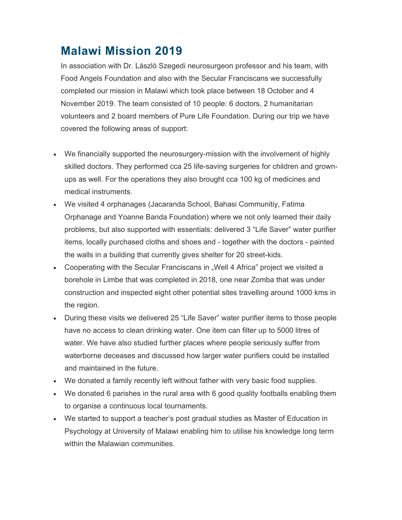## **Malawi Mission 2019**

In association with Dr. László Szegedi neurosurgeon professor and his team, with Food Angels Foundation and also with the Secular Franciscans we successfully completed our mission in Malawi which took place between 18 October and 4 November 2019. The team consisted of 10 people: 6 doctors, 2 humanitarian volunteers and 2 board members of Pure Life Foundation. During our trip we have covered the following areas of support:

- We financially supported the neurosurgery-mission with the involvement of highly skilled doctors. They performed cca 25 life-saving surgeries for children and grownups as well. For the operations they also brought cca 100 kg of medicines and medical instruments.
- We visited 4 orphanages (Jacaranda School, Bahasi Communitiy, Fatima Orphanage and Yoanne Banda Foundation) where we not only learned their daily problems, but also supported with essentials: delivered 3 "Life Saver" water purifier items, locally purchased cloths and shoes and - together with the doctors - painted the walls in a building that currently gives shelter for 20 street-kids.
- Cooperating with the Secular Franciscans in "Well 4 Africa" project we visited a borehole in Limbe that was completed in 2018, one near Zomba that was under construction and inspected eight other potential sites travelling around 1000 kms in the region.
- During these visits we delivered 25 "Life Saver" water purifier items to those people have no access to clean drinking water. One item can filter up to 5000 litres of water. We have also studied further places where people seriously suffer from waterborne deceases and discussed how larger water purifiers could be installed and maintained in the future.
- We donated a family recently left without father with very basic food supplies.
- We donated 6 parishes in the rural area with 6 good quality footballs enabling them to organise a continuous local tournaments.
- We started to support a teacher's post gradual studies as Master of Education in Psychology at University of Malawi enabling him to utilise his knowledge long term within the Malawian communities.